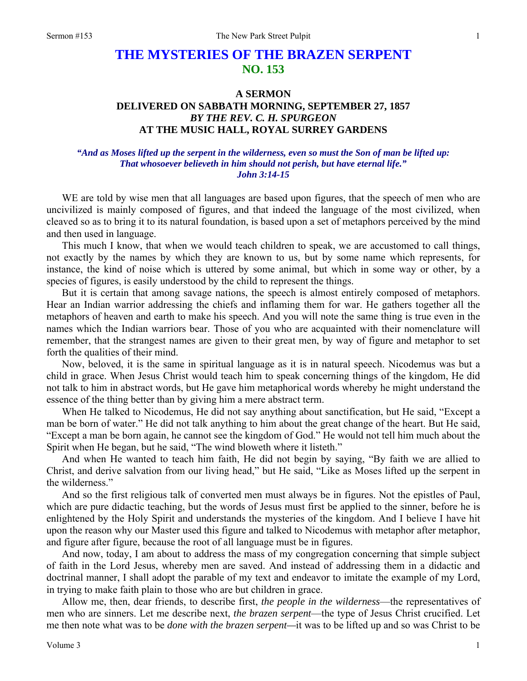# **THE MYSTERIES OF THE BRAZEN SERPENT NO. 153**

## **A SERMON DELIVERED ON SABBATH MORNING, SEPTEMBER 27, 1857**  *BY THE REV. C. H. SPURGEON*  **AT THE MUSIC HALL, ROYAL SURREY GARDENS**

### *"And as Moses lifted up the serpent in the wilderness, even so must the Son of man be lifted up: That whosoever believeth in him should not perish, but have eternal life." John 3:14-15*

WE are told by wise men that all languages are based upon figures, that the speech of men who are uncivilized is mainly composed of figures, and that indeed the language of the most civilized, when cleaved so as to bring it to its natural foundation, is based upon a set of metaphors perceived by the mind and then used in language.

This much I know, that when we would teach children to speak, we are accustomed to call things, not exactly by the names by which they are known to us, but by some name which represents, for instance, the kind of noise which is uttered by some animal, but which in some way or other, by a species of figures, is easily understood by the child to represent the things.

But it is certain that among savage nations, the speech is almost entirely composed of metaphors. Hear an Indian warrior addressing the chiefs and inflaming them for war. He gathers together all the metaphors of heaven and earth to make his speech. And you will note the same thing is true even in the names which the Indian warriors bear. Those of you who are acquainted with their nomenclature will remember, that the strangest names are given to their great men, by way of figure and metaphor to set forth the qualities of their mind.

Now, beloved, it is the same in spiritual language as it is in natural speech. Nicodemus was but a child in grace. When Jesus Christ would teach him to speak concerning things of the kingdom, He did not talk to him in abstract words, but He gave him metaphorical words whereby he might understand the essence of the thing better than by giving him a mere abstract term.

When He talked to Nicodemus, He did not say anything about sanctification, but He said, "Except a man be born of water." He did not talk anything to him about the great change of the heart. But He said, "Except a man be born again, he cannot see the kingdom of God." He would not tell him much about the Spirit when He began, but he said, "The wind bloweth where it listeth."

And when He wanted to teach him faith, He did not begin by saying, "By faith we are allied to Christ, and derive salvation from our living head," but He said, "Like as Moses lifted up the serpent in the wilderness."

And so the first religious talk of converted men must always be in figures. Not the epistles of Paul, which are pure didactic teaching, but the words of Jesus must first be applied to the sinner, before he is enlightened by the Holy Spirit and understands the mysteries of the kingdom. And I believe I have hit upon the reason why our Master used this figure and talked to Nicodemus with metaphor after metaphor, and figure after figure, because the root of all language must be in figures.

And now, today, I am about to address the mass of my congregation concerning that simple subject of faith in the Lord Jesus, whereby men are saved. And instead of addressing them in a didactic and doctrinal manner, I shall adopt the parable of my text and endeavor to imitate the example of my Lord, in trying to make faith plain to those who are but children in grace.

Allow me, then, dear friends, to describe first, *the people in the wilderness*—the representatives of men who are sinners. Let me describe next, *the brazen serpent*—the type of Jesus Christ crucified. Let me then note what was to be *done with the brazen serpent—*it was to be lifted up and so was Christ to be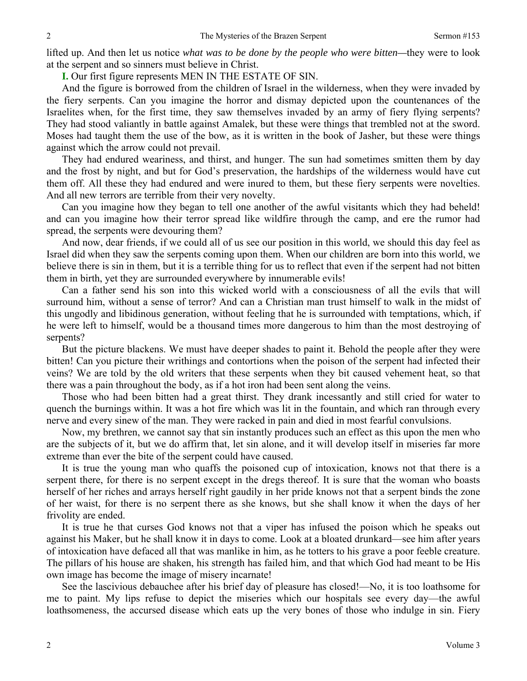lifted up. And then let us notice *what was to be done by the people who were bitten—*they were to look at the serpent and so sinners must believe in Christ.

**I.** Our first figure represents MEN IN THE ESTATE OF SIN.

And the figure is borrowed from the children of Israel in the wilderness, when they were invaded by the fiery serpents. Can you imagine the horror and dismay depicted upon the countenances of the Israelites when, for the first time, they saw themselves invaded by an army of fiery flying serpents? They had stood valiantly in battle against Amalek, but these were things that trembled not at the sword. Moses had taught them the use of the bow, as it is written in the book of Jasher, but these were things against which the arrow could not prevail.

They had endured weariness, and thirst, and hunger. The sun had sometimes smitten them by day and the frost by night, and but for God's preservation, the hardships of the wilderness would have cut them off. All these they had endured and were inured to them, but these fiery serpents were novelties. And all new terrors are terrible from their very novelty.

Can you imagine how they began to tell one another of the awful visitants which they had beheld! and can you imagine how their terror spread like wildfire through the camp, and ere the rumor had spread, the serpents were devouring them?

And now, dear friends, if we could all of us see our position in this world, we should this day feel as Israel did when they saw the serpents coming upon them. When our children are born into this world, we believe there is sin in them, but it is a terrible thing for us to reflect that even if the serpent had not bitten them in birth, yet they are surrounded everywhere by innumerable evils!

Can a father send his son into this wicked world with a consciousness of all the evils that will surround him, without a sense of terror? And can a Christian man trust himself to walk in the midst of this ungodly and libidinous generation, without feeling that he is surrounded with temptations, which, if he were left to himself, would be a thousand times more dangerous to him than the most destroying of serpents?

But the picture blackens. We must have deeper shades to paint it. Behold the people after they were bitten! Can you picture their writhings and contortions when the poison of the serpent had infected their veins? We are told by the old writers that these serpents when they bit caused vehement heat, so that there was a pain throughout the body, as if a hot iron had been sent along the veins.

Those who had been bitten had a great thirst. They drank incessantly and still cried for water to quench the burnings within. It was a hot fire which was lit in the fountain, and which ran through every nerve and every sinew of the man. They were racked in pain and died in most fearful convulsions.

Now, my brethren, we cannot say that sin instantly produces such an effect as this upon the men who are the subjects of it, but we do affirm that, let sin alone, and it will develop itself in miseries far more extreme than ever the bite of the serpent could have caused.

It is true the young man who quaffs the poisoned cup of intoxication, knows not that there is a serpent there, for there is no serpent except in the dregs thereof. It is sure that the woman who boasts herself of her riches and arrays herself right gaudily in her pride knows not that a serpent binds the zone of her waist, for there is no serpent there as she knows, but she shall know it when the days of her frivolity are ended.

It is true he that curses God knows not that a viper has infused the poison which he speaks out against his Maker, but he shall know it in days to come. Look at a bloated drunkard—see him after years of intoxication have defaced all that was manlike in him, as he totters to his grave a poor feeble creature. The pillars of his house are shaken, his strength has failed him, and that which God had meant to be His own image has become the image of misery incarnate!

See the lascivious debauchee after his brief day of pleasure has closed!—No, it is too loathsome for me to paint. My lips refuse to depict the miseries which our hospitals see every day—the awful loathsomeness, the accursed disease which eats up the very bones of those who indulge in sin. Fiery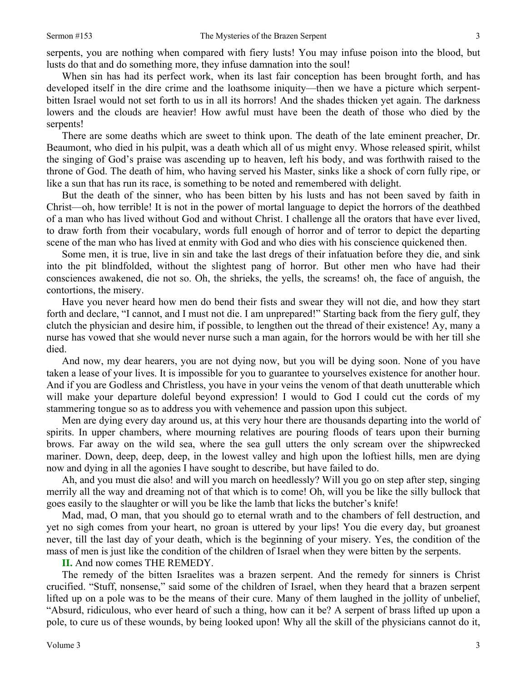serpents, you are nothing when compared with fiery lusts! You may infuse poison into the blood, but lusts do that and do something more, they infuse damnation into the soul!

When sin has had its perfect work, when its last fair conception has been brought forth, and has developed itself in the dire crime and the loathsome iniquity—then we have a picture which serpentbitten Israel would not set forth to us in all its horrors! And the shades thicken yet again. The darkness lowers and the clouds are heavier! How awful must have been the death of those who died by the serpents!

There are some deaths which are sweet to think upon. The death of the late eminent preacher, Dr. Beaumont, who died in his pulpit, was a death which all of us might envy. Whose released spirit, whilst the singing of God's praise was ascending up to heaven, left his body, and was forthwith raised to the throne of God. The death of him, who having served his Master, sinks like a shock of corn fully ripe, or like a sun that has run its race, is something to be noted and remembered with delight.

But the death of the sinner, who has been bitten by his lusts and has not been saved by faith in Christ—oh, how terrible! It is not in the power of mortal language to depict the horrors of the deathbed of a man who has lived without God and without Christ. I challenge all the orators that have ever lived, to draw forth from their vocabulary, words full enough of horror and of terror to depict the departing scene of the man who has lived at enmity with God and who dies with his conscience quickened then.

Some men, it is true, live in sin and take the last dregs of their infatuation before they die, and sink into the pit blindfolded, without the slightest pang of horror. But other men who have had their consciences awakened, die not so. Oh, the shrieks, the yells, the screams! oh, the face of anguish, the contortions, the misery.

Have you never heard how men do bend their fists and swear they will not die, and how they start forth and declare, "I cannot, and I must not die. I am unprepared!" Starting back from the fiery gulf, they clutch the physician and desire him, if possible, to lengthen out the thread of their existence! Ay, many a nurse has vowed that she would never nurse such a man again, for the horrors would be with her till she died.

And now, my dear hearers, you are not dying now, but you will be dying soon. None of you have taken a lease of your lives. It is impossible for you to guarantee to yourselves existence for another hour. And if you are Godless and Christless, you have in your veins the venom of that death unutterable which will make your departure doleful beyond expression! I would to God I could cut the cords of my stammering tongue so as to address you with vehemence and passion upon this subject.

Men are dying every day around us, at this very hour there are thousands departing into the world of spirits. In upper chambers, where mourning relatives are pouring floods of tears upon their burning brows. Far away on the wild sea, where the sea gull utters the only scream over the shipwrecked mariner. Down, deep, deep, deep, in the lowest valley and high upon the loftiest hills, men are dying now and dying in all the agonies I have sought to describe, but have failed to do.

Ah, and you must die also! and will you march on heedlessly? Will you go on step after step, singing merrily all the way and dreaming not of that which is to come! Oh, will you be like the silly bullock that goes easily to the slaughter or will you be like the lamb that licks the butcher's knife!

Mad, mad, O man, that you should go to eternal wrath and to the chambers of fell destruction, and yet no sigh comes from your heart, no groan is uttered by your lips! You die every day, but groanest never, till the last day of your death, which is the beginning of your misery. Yes, the condition of the mass of men is just like the condition of the children of Israel when they were bitten by the serpents.

**II.** And now comes THE REMEDY.

The remedy of the bitten Israelites was a brazen serpent. And the remedy for sinners is Christ crucified. "Stuff, nonsense," said some of the children of Israel, when they heard that a brazen serpent lifted up on a pole was to be the means of their cure. Many of them laughed in the jollity of unbelief, "Absurd, ridiculous, who ever heard of such a thing, how can it be? A serpent of brass lifted up upon a pole, to cure us of these wounds, by being looked upon! Why all the skill of the physicians cannot do it,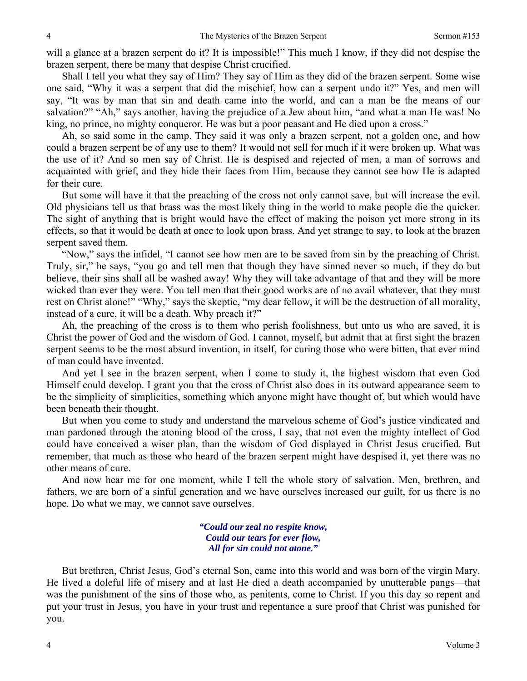will a glance at a brazen serpent do it? It is impossible!" This much I know, if they did not despise the brazen serpent, there be many that despise Christ crucified.

Shall I tell you what they say of Him? They say of Him as they did of the brazen serpent. Some wise one said, "Why it was a serpent that did the mischief, how can a serpent undo it?" Yes, and men will say, "It was by man that sin and death came into the world, and can a man be the means of our salvation?" "Ah," says another, having the prejudice of a Jew about him, "and what a man He was! No king, no prince, no mighty conqueror. He was but a poor peasant and He died upon a cross."

Ah, so said some in the camp. They said it was only a brazen serpent, not a golden one, and how could a brazen serpent be of any use to them? It would not sell for much if it were broken up. What was the use of it? And so men say of Christ. He is despised and rejected of men, a man of sorrows and acquainted with grief, and they hide their faces from Him, because they cannot see how He is adapted for their cure.

But some will have it that the preaching of the cross not only cannot save, but will increase the evil. Old physicians tell us that brass was the most likely thing in the world to make people die the quicker. The sight of anything that is bright would have the effect of making the poison yet more strong in its effects, so that it would be death at once to look upon brass. And yet strange to say, to look at the brazen serpent saved them.

"Now," says the infidel, "I cannot see how men are to be saved from sin by the preaching of Christ. Truly, sir," he says, "you go and tell men that though they have sinned never so much, if they do but believe, their sins shall all be washed away! Why they will take advantage of that and they will be more wicked than ever they were. You tell men that their good works are of no avail whatever, that they must rest on Christ alone!" "Why," says the skeptic, "my dear fellow, it will be the destruction of all morality, instead of a cure, it will be a death. Why preach it?"

Ah, the preaching of the cross is to them who perish foolishness, but unto us who are saved, it is Christ the power of God and the wisdom of God. I cannot, myself, but admit that at first sight the brazen serpent seems to be the most absurd invention, in itself, for curing those who were bitten, that ever mind of man could have invented.

And yet I see in the brazen serpent, when I come to study it, the highest wisdom that even God Himself could develop. I grant you that the cross of Christ also does in its outward appearance seem to be the simplicity of simplicities, something which anyone might have thought of, but which would have been beneath their thought.

But when you come to study and understand the marvelous scheme of God's justice vindicated and man pardoned through the atoning blood of the cross, I say, that not even the mighty intellect of God could have conceived a wiser plan, than the wisdom of God displayed in Christ Jesus crucified. But remember, that much as those who heard of the brazen serpent might have despised it, yet there was no other means of cure.

And now hear me for one moment, while I tell the whole story of salvation. Men, brethren, and fathers, we are born of a sinful generation and we have ourselves increased our guilt, for us there is no hope. Do what we may, we cannot save ourselves.

> *"Could our zeal no respite know, Could our tears for ever flow, All for sin could not atone."*

But brethren, Christ Jesus, God's eternal Son, came into this world and was born of the virgin Mary. He lived a doleful life of misery and at last He died a death accompanied by unutterable pangs—that was the punishment of the sins of those who, as penitents, come to Christ. If you this day so repent and put your trust in Jesus, you have in your trust and repentance a sure proof that Christ was punished for you.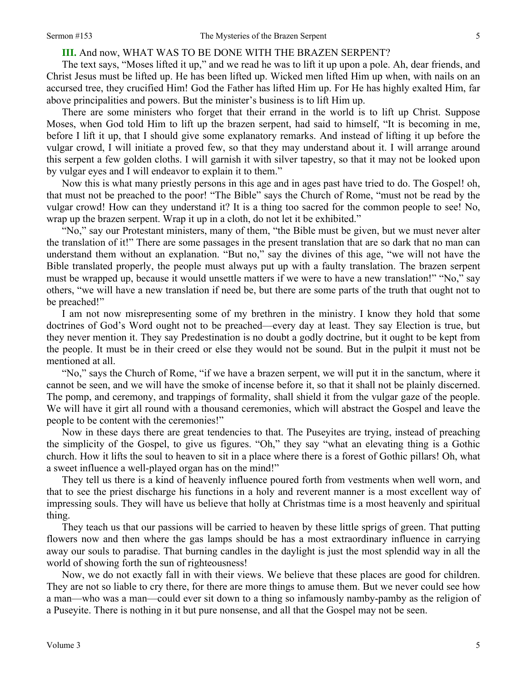#### **III.** And now, WHAT WAS TO BE DONE WITH THE BRAZEN SERPENT?

The text says, "Moses lifted it up," and we read he was to lift it up upon a pole. Ah, dear friends, and Christ Jesus must be lifted up. He has been lifted up. Wicked men lifted Him up when, with nails on an accursed tree, they crucified Him! God the Father has lifted Him up. For He has highly exalted Him, far above principalities and powers. But the minister's business is to lift Him up.

There are some ministers who forget that their errand in the world is to lift up Christ. Suppose Moses, when God told Him to lift up the brazen serpent, had said to himself, "It is becoming in me, before I lift it up, that I should give some explanatory remarks. And instead of lifting it up before the vulgar crowd, I will initiate a proved few, so that they may understand about it. I will arrange around this serpent a few golden cloths. I will garnish it with silver tapestry, so that it may not be looked upon by vulgar eyes and I will endeavor to explain it to them."

Now this is what many priestly persons in this age and in ages past have tried to do. The Gospel! oh, that must not be preached to the poor! "The Bible" says the Church of Rome, "must not be read by the vulgar crowd! How can they understand it? It is a thing too sacred for the common people to see! No, wrap up the brazen serpent. Wrap it up in a cloth, do not let it be exhibited."

"No," say our Protestant ministers, many of them, "the Bible must be given, but we must never alter the translation of it!" There are some passages in the present translation that are so dark that no man can understand them without an explanation. "But no," say the divines of this age, "we will not have the Bible translated properly, the people must always put up with a faulty translation. The brazen serpent must be wrapped up, because it would unsettle matters if we were to have a new translation!" "No," say others, "we will have a new translation if need be, but there are some parts of the truth that ought not to be preached!"

I am not now misrepresenting some of my brethren in the ministry. I know they hold that some doctrines of God's Word ought not to be preached—every day at least. They say Election is true, but they never mention it. They say Predestination is no doubt a godly doctrine, but it ought to be kept from the people. It must be in their creed or else they would not be sound. But in the pulpit it must not be mentioned at all.

"No," says the Church of Rome, "if we have a brazen serpent, we will put it in the sanctum, where it cannot be seen, and we will have the smoke of incense before it, so that it shall not be plainly discerned. The pomp, and ceremony, and trappings of formality, shall shield it from the vulgar gaze of the people. We will have it girt all round with a thousand ceremonies, which will abstract the Gospel and leave the people to be content with the ceremonies!"

Now in these days there are great tendencies to that. The Puseyites are trying, instead of preaching the simplicity of the Gospel, to give us figures. "Oh," they say "what an elevating thing is a Gothic church. How it lifts the soul to heaven to sit in a place where there is a forest of Gothic pillars! Oh, what a sweet influence a well-played organ has on the mind!"

They tell us there is a kind of heavenly influence poured forth from vestments when well worn, and that to see the priest discharge his functions in a holy and reverent manner is a most excellent way of impressing souls. They will have us believe that holly at Christmas time is a most heavenly and spiritual thing.

They teach us that our passions will be carried to heaven by these little sprigs of green. That putting flowers now and then where the gas lamps should be has a most extraordinary influence in carrying away our souls to paradise. That burning candles in the daylight is just the most splendid way in all the world of showing forth the sun of righteousness!

Now, we do not exactly fall in with their views. We believe that these places are good for children. They are not so liable to cry there, for there are more things to amuse them. But we never could see how a man—who was a man—could ever sit down to a thing so infamously namby-pamby as the religion of a Puseyite. There is nothing in it but pure nonsense, and all that the Gospel may not be seen.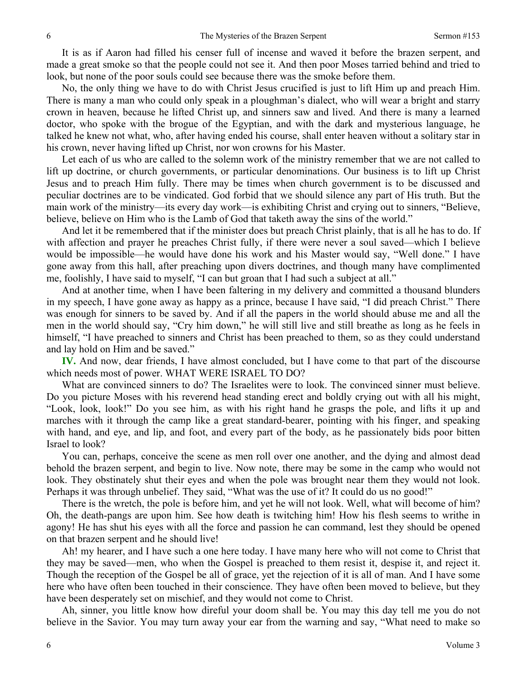It is as if Aaron had filled his censer full of incense and waved it before the brazen serpent, and made a great smoke so that the people could not see it. And then poor Moses tarried behind and tried to look, but none of the poor souls could see because there was the smoke before them.

No, the only thing we have to do with Christ Jesus crucified is just to lift Him up and preach Him. There is many a man who could only speak in a ploughman's dialect, who will wear a bright and starry crown in heaven, because he lifted Christ up, and sinners saw and lived. And there is many a learned doctor, who spoke with the brogue of the Egyptian, and with the dark and mysterious language, he talked he knew not what, who, after having ended his course, shall enter heaven without a solitary star in his crown, never having lifted up Christ, nor won crowns for his Master.

Let each of us who are called to the solemn work of the ministry remember that we are not called to lift up doctrine, or church governments, or particular denominations. Our business is to lift up Christ Jesus and to preach Him fully. There may be times when church government is to be discussed and peculiar doctrines are to be vindicated. God forbid that we should silence any part of His truth. But the main work of the ministry—its every day work—is exhibiting Christ and crying out to sinners, "Believe, believe, believe on Him who is the Lamb of God that taketh away the sins of the world."

And let it be remembered that if the minister does but preach Christ plainly, that is all he has to do. If with affection and prayer he preaches Christ fully, if there were never a soul saved—which I believe would be impossible—he would have done his work and his Master would say, "Well done." I have gone away from this hall, after preaching upon divers doctrines, and though many have complimented me, foolishly, I have said to myself, "I can but groan that I had such a subject at all."

And at another time, when I have been faltering in my delivery and committed a thousand blunders in my speech, I have gone away as happy as a prince, because I have said, "I did preach Christ." There was enough for sinners to be saved by. And if all the papers in the world should abuse me and all the men in the world should say, "Cry him down," he will still live and still breathe as long as he feels in himself, "I have preached to sinners and Christ has been preached to them, so as they could understand and lay hold on Him and be saved."

**IV.** And now, dear friends, I have almost concluded, but I have come to that part of the discourse which needs most of power. WHAT WERE ISRAEL TO DO?

What are convinced sinners to do? The Israelites were to look. The convinced sinner must believe. Do you picture Moses with his reverend head standing erect and boldly crying out with all his might, "Look, look, look!" Do you see him, as with his right hand he grasps the pole, and lifts it up and marches with it through the camp like a great standard-bearer, pointing with his finger, and speaking with hand, and eye, and lip, and foot, and every part of the body, as he passionately bids poor bitten Israel to look?

You can, perhaps, conceive the scene as men roll over one another, and the dying and almost dead behold the brazen serpent, and begin to live. Now note, there may be some in the camp who would not look. They obstinately shut their eyes and when the pole was brought near them they would not look. Perhaps it was through unbelief. They said, "What was the use of it? It could do us no good!"

There is the wretch, the pole is before him, and yet he will not look. Well, what will become of him? Oh, the death-pangs are upon him. See how death is twitching him! How his flesh seems to writhe in agony! He has shut his eyes with all the force and passion he can command, lest they should be opened on that brazen serpent and he should live!

Ah! my hearer, and I have such a one here today. I have many here who will not come to Christ that they may be saved—men, who when the Gospel is preached to them resist it, despise it, and reject it. Though the reception of the Gospel be all of grace, yet the rejection of it is all of man. And I have some here who have often been touched in their conscience. They have often been moved to believe, but they have been desperately set on mischief, and they would not come to Christ.

Ah, sinner, you little know how direful your doom shall be. You may this day tell me you do not believe in the Savior. You may turn away your ear from the warning and say, "What need to make so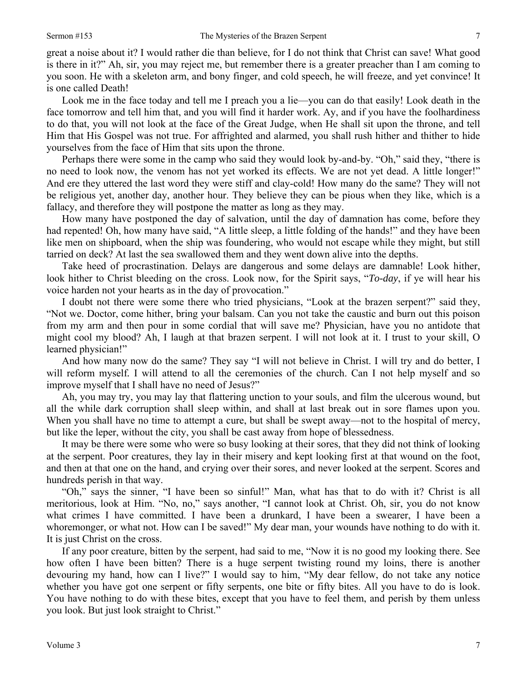great a noise about it? I would rather die than believe, for I do not think that Christ can save! What good is there in it?" Ah, sir, you may reject me, but remember there is a greater preacher than I am coming to you soon. He with a skeleton arm, and bony finger, and cold speech, he will freeze, and yet convince! It is one called Death!

Look me in the face today and tell me I preach you a lie—you can do that easily! Look death in the face tomorrow and tell him that, and you will find it harder work. Ay, and if you have the foolhardiness to do that, you will not look at the face of the Great Judge, when He shall sit upon the throne, and tell Him that His Gospel was not true. For affrighted and alarmed, you shall rush hither and thither to hide yourselves from the face of Him that sits upon the throne.

Perhaps there were some in the camp who said they would look by-and-by. "Oh," said they, "there is no need to look now, the venom has not yet worked its effects. We are not yet dead. A little longer!" And ere they uttered the last word they were stiff and clay-cold! How many do the same? They will not be religious yet, another day, another hour. They believe they can be pious when they like, which is a fallacy, and therefore they will postpone the matter as long as they may.

How many have postponed the day of salvation, until the day of damnation has come, before they had repented! Oh, how many have said, "A little sleep, a little folding of the hands!" and they have been like men on shipboard, when the ship was foundering, who would not escape while they might, but still tarried on deck? At last the sea swallowed them and they went down alive into the depths.

Take heed of procrastination. Delays are dangerous and some delays are damnable! Look hither, look hither to Christ bleeding on the cross. Look now, for the Spirit says, "*To-day*, if ye will hear his voice harden not your hearts as in the day of provocation."

I doubt not there were some there who tried physicians, "Look at the brazen serpent?" said they, "Not we. Doctor, come hither, bring your balsam. Can you not take the caustic and burn out this poison from my arm and then pour in some cordial that will save me? Physician, have you no antidote that might cool my blood? Ah, I laugh at that brazen serpent. I will not look at it. I trust to your skill, O learned physician!"

And how many now do the same? They say "I will not believe in Christ. I will try and do better, I will reform myself*.* I will attend to all the ceremonies of the church. Can I not help myself and so improve myself that I shall have no need of Jesus?"

Ah, you may try, you may lay that flattering unction to your souls, and film the ulcerous wound, but all the while dark corruption shall sleep within, and shall at last break out in sore flames upon you. When you shall have no time to attempt a cure, but shall be swept away—not to the hospital of mercy, but like the leper, without the city, you shall be cast away from hope of blessedness.

It may be there were some who were so busy looking at their sores, that they did not think of looking at the serpent. Poor creatures, they lay in their misery and kept looking first at that wound on the foot, and then at that one on the hand, and crying over their sores, and never looked at the serpent. Scores and hundreds perish in that way.

"Oh," says the sinner, "I have been so sinful!" Man, what has that to do with it? Christ is all meritorious, look at Him. "No, no," says another, "I cannot look at Christ. Oh, sir, you do not know what crimes I have committed. I have been a drunkard, I have been a swearer, I have been a whoremonger, or what not. How can I be saved!" My dear man, your wounds have nothing to do with it. It is just Christ on the cross.

If any poor creature, bitten by the serpent, had said to me, "Now it is no good my looking there. See how often I have been bitten? There is a huge serpent twisting round my loins, there is another devouring my hand, how can I live?" I would say to him, "My dear fellow, do not take any notice whether you have got one serpent or fifty serpents, one bite or fifty bites. All you have to do is look. You have nothing to do with these bites, except that you have to feel them, and perish by them unless you look. But just look straight to Christ."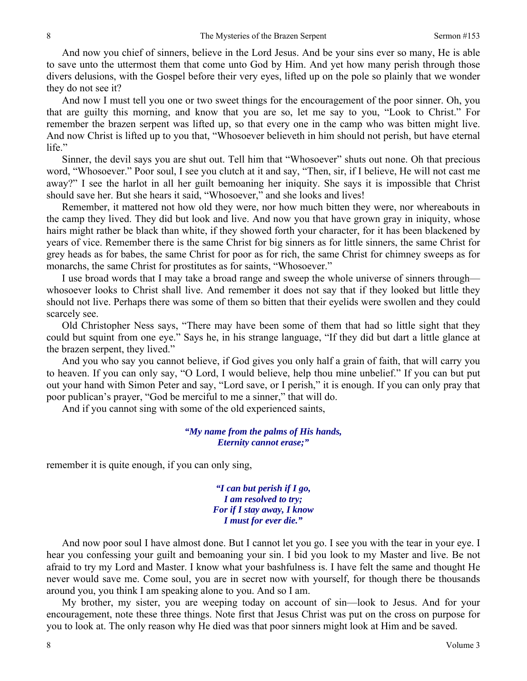And now you chief of sinners, believe in the Lord Jesus. And be your sins ever so many, He is able to save unto the uttermost them that come unto God by Him. And yet how many perish through those divers delusions, with the Gospel before their very eyes, lifted up on the pole so plainly that we wonder they do not see it?

And now I must tell you one or two sweet things for the encouragement of the poor sinner. Oh, you that are guilty this morning, and know that you are so, let me say to you, "Look to Christ." For remember the brazen serpent was lifted up, so that every one in the camp who was bitten might live. And now Christ is lifted up to you that, "Whosoever believeth in him should not perish, but have eternal life."

Sinner, the devil says you are shut out. Tell him that "Whosoever" shuts out none. Oh that precious word, "Whosoever." Poor soul, I see you clutch at it and say, "Then, sir, if I believe, He will not cast me away?" I see the harlot in all her guilt bemoaning her iniquity. She says it is impossible that Christ should save her. But she hears it said, "Whosoever," and she looks and lives!

Remember, it mattered not how old they were, nor how much bitten they were, nor whereabouts in the camp they lived. They did but look and live. And now you that have grown gray in iniquity, whose hairs might rather be black than white, if they showed forth your character, for it has been blackened by years of vice. Remember there is the same Christ for big sinners as for little sinners, the same Christ for grey heads as for babes, the same Christ for poor as for rich, the same Christ for chimney sweeps as for monarchs, the same Christ for prostitutes as for saints, "Whosoever."

I use broad words that I may take a broad range and sweep the whole universe of sinners through whosoever looks to Christ shall live. And remember it does not say that if they looked but little they should not live. Perhaps there was some of them so bitten that their eyelids were swollen and they could scarcely see.

Old Christopher Ness says, "There may have been some of them that had so little sight that they could but squint from one eye." Says he, in his strange language, "If they did but dart a little glance at the brazen serpent, they lived."

And you who say you cannot believe, if God gives you only half a grain of faith, that will carry you to heaven. If you can only say, "O Lord, I would believe, help thou mine unbelief." If you can but put out your hand with Simon Peter and say, "Lord save, or I perish," it is enough. If you can only pray that poor publican's prayer, "God be merciful to me a sinner," that will do.

And if you cannot sing with some of the old experienced saints,

### *"My name from the palms of His hands, Eternity cannot erase;"*

remember it is quite enough, if you can only sing,

*"I can but perish if I go, I am resolved to try; For if I stay away, I know I must for ever die."* 

And now poor soul I have almost done. But I cannot let you go. I see you with the tear in your eye. I hear you confessing your guilt and bemoaning your sin. I bid you look to my Master and live. Be not afraid to try my Lord and Master. I know what your bashfulness is. I have felt the same and thought He never would save me. Come soul, you are in secret now with yourself, for though there be thousands around you, you think I am speaking alone to you. And so I am.

My brother, my sister, you are weeping today on account of sin—look to Jesus. And for your encouragement, note these three things. Note first that Jesus Christ was put on the cross on purpose for you to look at. The only reason why He died was that poor sinners might look at Him and be saved.